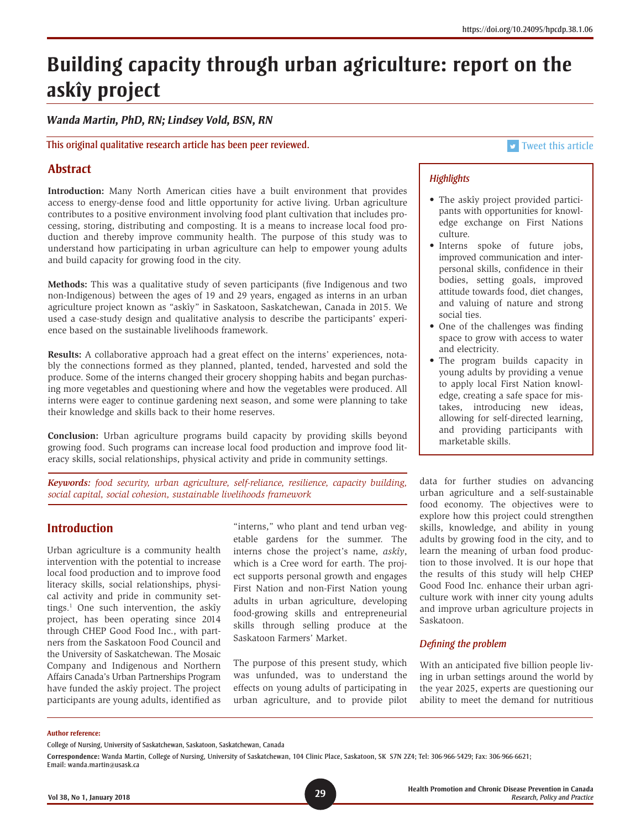# **Building capacity through urban agriculture: report on the askîy project**

### *Wanda Martin, PhD, RN; Lindsey Vold, BSN, RN*

#### This original qualitative research article has been peer reviewed. This article has been peer reviewed.

## **Abstract**

**Introduction:** Many North American cities have a built environment that provides access to energy-dense food and little opportunity for active living. Urban agriculture contributes to a positive environment involving food plant cultivation that includes processing, storing, distributing and composting. It is a means to increase local food production and thereby improve community health. The purpose of this study was to understand how participating in urban agriculture can help to empower young adults and build capacity for growing food in the city.

**Methods:** This was a qualitative study of seven participants (five Indigenous and two non-Indigenous) between the ages of 19 and 29 years, engaged as interns in an urban agriculture project known as "askîy" in Saskatoon, Saskatchewan, Canada in 2015. We used a case-study design and qualitative analysis to describe the participants' experience based on the sustainable livelihoods framework.

**Results:** A collaborative approach had a great effect on the interns' experiences, notably the connections formed as they planned, planted, tended, harvested and sold the produce. Some of the interns changed their grocery shopping habits and began purchasing more vegetables and questioning where and how the vegetables were produced. All interns were eager to continue gardening next season, and some were planning to take their knowledge and skills back to their home reserves.

**Conclusion:** Urban agriculture programs build capacity by providing skills beyond growing food. Such programs can increase local food production and improve food literacy skills, social relationships, physical activity and pride in community settings.

*Keywords: food security, urban agriculture, self-reliance, resilience, capacity building, social capital, social cohesion, sustainable livelihoods framework*

## **Introduction**

Urban agriculture is a community health intervention with the potential to increase local food production and to improve food literacy skills, social relationships, physical activity and pride in community settings.1 One such intervention, the askîy project, has been operating since 2014 through CHEP Good Food Inc., with partners from the Saskatoon Food Council and the University of Saskatchewan. The Mosaic Company and Indigenous and Northern Affairs Canada's Urban Partnerships Program have funded the askîy project. The project participants are young adults, identified as

"interns," who plant and tend urban vegetable gardens for the summer. The interns chose the project's name, *askîy*, which is a Cree word for earth. The project supports personal growth and engages First Nation and non-First Nation young adults in urban agriculture, developing food-growing skills and entrepreneurial skills through selling produce at the Saskatoon Farmers' Market.

The purpose of this present study, which was unfunded, was to understand the effects on young adults of participating in urban agriculture, and to provide pilot

#### *Highlights*

- The askîy project provided participants with opportunities for knowledge exchange on First Nations culture.
- Interns spoke of future jobs, improved communication and interpersonal skills, confidence in their bodies, setting goals, improved attitude towards food, diet changes, and valuing of nature and strong social ties.
- One of the challenges was finding space to grow with access to water and electricity.
- The program builds capacity in young adults by providing a venue to apply local First Nation knowledge, creating a safe space for mistakes, introducing new ideas, allowing for self-directed learning, and providing participants with marketable skills.

data for further studies on advancing urban agriculture and a self-sustainable food economy. The objectives were to explore how this project could strengthen skills, knowledge, and ability in young adults by growing food in the city, and to learn the meaning of urban food production to those involved. It is our hope that the results of this study will help CHEP Good Food Inc. enhance their urban agriculture work with inner city young adults and improve urban agriculture projects in Saskatoon.

#### *Defining the problem*

With an anticipated five billion people living in urban settings around the world by the year 2025, experts are questioning our ability to meet the demand for nutritious

#### **Author reference:**

College of Nursing, University of Saskatchewan, Saskatoon, Saskatchewan, Canada

**Correspondence:** Wanda Martin, College of Nursing, University of Saskatchewan, 104 Clinic Place, Saskatoon, SK S7N 2Z4; Tel: 306-966-5429; Fax: 306-966-6621; Email: wanda.martin@usask.ca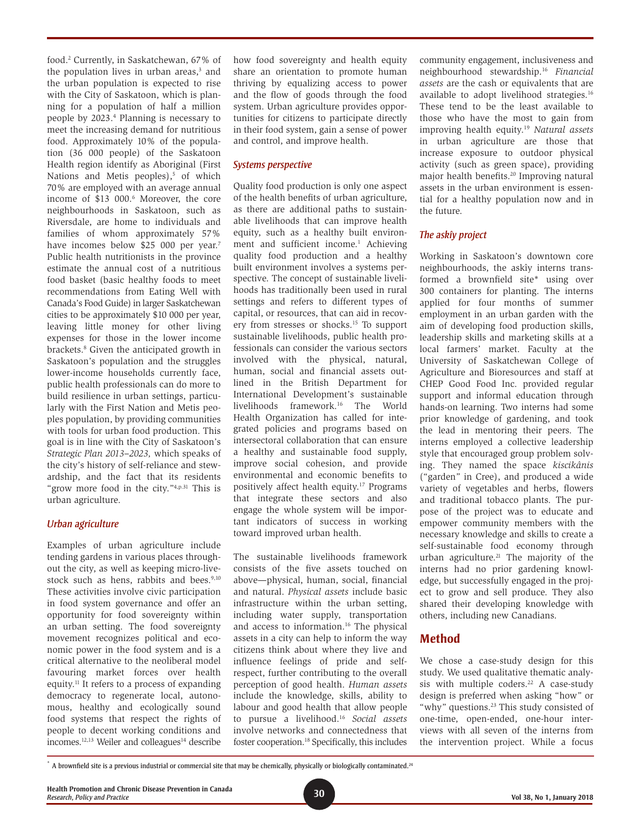food.2 Currently, in Saskatchewan, 67% of the population lives in urban areas,<sup>3</sup> and the urban population is expected to rise with the City of Saskatoon, which is planning for a population of half a million people by 2023.4 Planning is necessary to meet the increasing demand for nutritious food. Approximately 10% of the population (36 000 people) of the Saskatoon Health region identify as Aboriginal (First Nations and Metis peoples), $5$  of which 70% are employed with an average annual income of \$13 000.6 Moreover, the core neighbourhoods in Saskatoon, such as Riversdale, are home to individuals and families of whom approximately 57% have incomes below \$25 000 per year.<sup>7</sup> Public health nutritionists in the province estimate the annual cost of a nutritious food basket (basic healthy foods to meet recommendations from Eating Well with Canada's Food Guide) in larger Saskatchewan cities to be approximately \$10 000 per year, leaving little money for other living expenses for those in the lower income brackets.8 Given the anticipated growth in Saskatoon's population and the struggles lower-income households currently face, public health professionals can do more to build resilience in urban settings, particularly with the First Nation and Metis peoples population, by providing communities with tools for urban food production. This goal is in line with the City of Saskatoon's *Strategic Plan 2013–2023,* which speaks of the city's history of self-reliance and stewardship, and the fact that its residents "grow more food in the city."4,p.31 This is urban agriculture.

#### *Urban agriculture*

Examples of urban agriculture include tending gardens in various places throughout the city, as well as keeping micro-livestock such as hens, rabbits and bees.<sup>9,10</sup> These activities involve civic participation in food system governance and offer an opportunity for food sovereignty within an urban setting. The food sovereignty movement recognizes political and economic power in the food system and is a critical alternative to the neoliberal model favouring market forces over health equity.11 It refers to a process of expanding democracy to regenerate local, autonomous, healthy and ecologically sound food systems that respect the rights of people to decent working conditions and incomes.<sup>12,13</sup> Weiler and colleagues<sup>14</sup> describe how food sovereignty and health equity share an orientation to promote human thriving by equalizing access to power and the flow of goods through the food system. Urban agriculture provides opportunities for citizens to participate directly in their food system, gain a sense of power and control, and improve health.

#### *Systems perspective*

Quality food production is only one aspect of the health benefits of urban agriculture, as there are additional paths to sustainable livelihoods that can improve health equity, such as a healthy built environment and sufficient income.<sup>1</sup> Achieving quality food production and a healthy built environment involves a systems perspective. The concept of sustainable livelihoods has traditionally been used in rural settings and refers to different types of capital, or resources, that can aid in recovery from stresses or shocks.15 To support sustainable livelihoods, public health professionals can consider the various sectors involved with the physical, natural, human, social and financial assets outlined in the British Department for International Development's sustainable livelihoods framework.16 The World Health Organization has called for integrated policies and programs based on intersectoral collaboration that can ensure a healthy and sustainable food supply, improve social cohesion, and provide environmental and economic benefits to positively affect health equity.17 Programs that integrate these sectors and also engage the whole system will be important indicators of success in working toward improved urban health.

The sustainable livelihoods framework consists of the five assets touched on above—physical, human, social, financial and natural. *Physical assets* include basic infrastructure within the urban setting, including water supply, transportation and access to information.16 The physical assets in a city can help to inform the way citizens think about where they live and influence feelings of pride and selfrespect, further contributing to the overall perception of good health. *Human assets* include the knowledge, skills, ability to labour and good health that allow people to pursue a livelihood.16 *Social assets* involve networks and connectedness that foster cooperation.18 Specifically, this includes

community engagement, inclusiveness and neighbourhood stewardship.16 *Financial assets* are the cash or equivalents that are available to adopt livelihood strategies.16 These tend to be the least available to those who have the most to gain from improving health equity.19 *Natural assets* in urban agriculture are those that increase exposure to outdoor physical activity (such as green space), providing major health benefits.20 Improving natural assets in the urban environment is essential for a healthy population now and in the future.

#### *The askîy project*

Working in Saskatoon's downtown core neighbourhoods, the askîy interns transformed a brownfield site\* using over 300 containers for planting. The interns applied for four months of summer employment in an urban garden with the aim of developing food production skills, leadership skills and marketing skills at a local farmers' market. Faculty at the University of Saskatchewan College of Agriculture and Bioresources and staff at CHEP Good Food Inc. provided regular support and informal education through hands-on learning. Two interns had some prior knowledge of gardening, and took the lead in mentoring their peers. The interns employed a collective leadership style that encouraged group problem solving. They named the space *kiscikânis* ("garden" in Cree), and produced a wide variety of vegetables and herbs, flowers and traditional tobacco plants. The purpose of the project was to educate and empower community members with the necessary knowledge and skills to create a self-sustainable food economy through urban agriculture.<sup>21</sup> The majority of the interns had no prior gardening knowledge, but successfully engaged in the project to grow and sell produce. They also shared their developing knowledge with others, including new Canadians.

## **Method**

We chose a case-study design for this study. We used qualitative thematic analysis with multiple coders.<sup>22</sup> A case-study design is preferred when asking "how" or "why" questions.<sup>23</sup> This study consisted of one-time, open-ended, one-hour interviews with all seven of the interns from the intervention project. While a focus

 $*$  A brownfield site is a previous industrial or commercial site that may be chemically, physically or biologically contaminated.<sup>24</sup>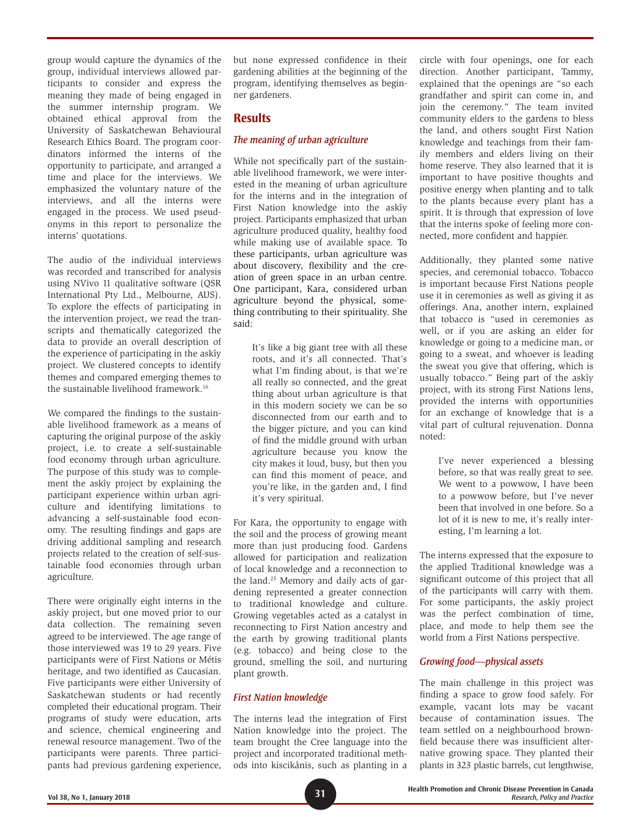group would capture the dynamics of the group, individual interviews allowed participants to consider and express the meaning they made of being engaged in the summer internship program. We obtained ethical approval from the University of Saskatchewan Behavioural Research Ethics Board. The program coordinators informed the interns of the opportunity to participate, and arranged a time and place for the interviews. We emphasized the voluntary nature of the interviews, and all the interns were engaged in the process. We used pseudonyms in this report to personalize the interns' quotations.

The audio of the individual interviews was recorded and transcribed for analysis using NVivo 11 qualitative software (QSR International Pty Ltd., Melbourne, AUS). To explore the effects of participating in the intervention project, we read the transcripts and thematically categorized the data to provide an overall description of the experience of participating in the askîy project. We clustered concepts to identify themes and compared emerging themes to the sustainable livelihood framework.16

We compared the findings to the sustainable livelihood framework as a means of capturing the original purpose of the askîy project, i.e. to create a self-sustainable food economy through urban agriculture. The purpose of this study was to complement the askîy project by explaining the participant experience within urban agriculture and identifying limitations to advancing a self-sustainable food economy. The resulting findings and gaps are driving additional sampling and research projects related to the creation of self-sustainable food economies through urban agriculture.

There were originally eight interns in the askîy project, but one moved prior to our data collection. The remaining seven agreed to be interviewed. The age range of those interviewed was 19 to 29 years. Five participants were of First Nations or Métis heritage, and two identified as Caucasian. Five participants were either University of Saskatchewan students or had recently completed their educational program. Their programs of study were education, arts and science, chemical engineering and renewal resource management. Two of the participants were parents. Three participants had previous gardening experience,

but none expressed confidence in their gardening abilities at the beginning of the program, identifying themselves as beginner gardeners.

## **Results**

#### *The meaning of urban agriculture*

While not specifically part of the sustainable livelihood framework, we were interested in the meaning of urban agriculture for the interns and in the integration of First Nation knowledge into the askîy project. Participants emphasized that urban agriculture produced quality, healthy food while making use of available space. To these participants, urban agriculture was about discovery, flexibility and the creation of green space in an urban centre. One participant, Kara, considered urban agriculture beyond the physical, something contributing to their spirituality. She said:

> It's like a big giant tree with all these roots, and it's all connected. That's what I'm finding about, is that we're all really so connected, and the great thing about urban agriculture is that in this modern society we can be so disconnected from our earth and to the bigger picture, and you can kind of find the middle ground with urban agriculture because you know the city makes it loud, busy, but then you can find this moment of peace, and you're like, in the garden and, I find it's very spiritual.

For Kara, the opportunity to engage with the soil and the process of growing meant more than just producing food. Gardens allowed for participation and realization of local knowledge and a reconnection to the land.25 Memory and daily acts of gardening represented a greater connection to traditional knowledge and culture. Growing vegetables acted as a catalyst in reconnecting to First Nation ancestry and the earth by growing traditional plants (e.g. tobacco) and being close to the ground, smelling the soil, and nurturing plant growth.

#### *First Nation knowledge*

The interns lead the integration of First Nation knowledge into the project. The team brought the Cree language into the project and incorporated traditional methods into kiscikânis, such as planting in a circle with four openings, one for each direction. Another participant, Tammy, explained that the openings are "so each grandfather and spirit can come in, and join the ceremony." The team invited community elders to the gardens to bless the land, and others sought First Nation knowledge and teachings from their family members and elders living on their home reserve. They also learned that it is important to have positive thoughts and positive energy when planting and to talk to the plants because every plant has a spirit. It is through that expression of love that the interns spoke of feeling more connected, more confident and happier.

Additionally, they planted some native species, and ceremonial tobacco. Tobacco is important because First Nations people use it in ceremonies as well as giving it as offerings. Ana, another intern, explained that tobacco is "used in ceremonies as well, or if you are asking an elder for knowledge or going to a medicine man, or going to a sweat, and whoever is leading the sweat you give that offering, which is usually tobacco." Being part of the askîy project, with its strong First Nations lens, provided the interns with opportunities for an exchange of knowledge that is a vital part of cultural rejuvenation. Donna noted:

I've never experienced a blessing before, so that was really great to see. We went to a powwow, I have been to a powwow before, but I've never been that involved in one before. So a lot of it is new to me, it's really interesting, I'm learning a lot.

The interns expressed that the exposure to the applied Traditional knowledge was a significant outcome of this project that all of the participants will carry with them. For some participants, the askîy project was the perfect combination of time, place, and mode to help them see the world from a First Nations perspective.

#### *Growing food—physical assets*

The main challenge in this project was finding a space to grow food safely. For example, vacant lots may be vacant because of contamination issues. The team settled on a neighbourhood brownfield because there was insufficient alternative growing space. They planted their plants in 323 plastic barrels, cut lengthwise,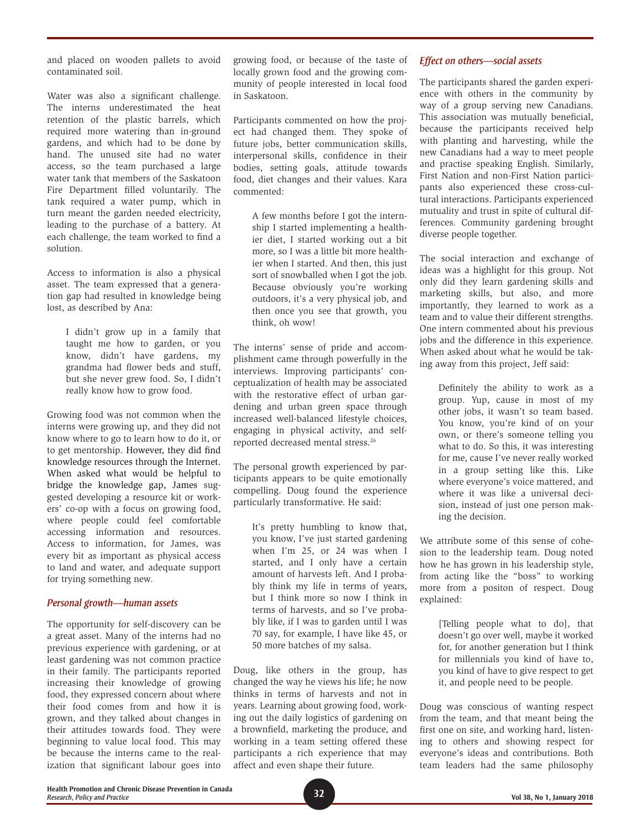and placed on wooden pallets to avoid contaminated soil.

Water was also a significant challenge. The interns underestimated the heat retention of the plastic barrels, which required more watering than in-ground gardens, and which had to be done by hand. The unused site had no water access, so the team purchased a large water tank that members of the Saskatoon Fire Department filled voluntarily. The tank required a water pump, which in turn meant the garden needed electricity, leading to the purchase of a battery. At each challenge, the team worked to find a solution.

Access to information is also a physical asset. The team expressed that a generation gap had resulted in knowledge being lost, as described by Ana:

> I didn't grow up in a family that taught me how to garden, or you know, didn't have gardens, my grandma had flower beds and stuff, but she never grew food. So, I didn't really know how to grow food.

Growing food was not common when the interns were growing up, and they did not know where to go to learn how to do it, or to get mentorship. However, they did find knowledge resources through the Internet. When asked what would be helpful to bridge the knowledge gap, James suggested developing a resource kit or workers' co-op with a focus on growing food, where people could feel comfortable accessing information and resources. Access to information, for James, was every bit as important as physical access to land and water, and adequate support for trying something new.

#### *Personal growth—human assets*

The opportunity for self-discovery can be a great asset. Many of the interns had no previous experience with gardening, or at least gardening was not common practice in their family. The participants reported increasing their knowledge of growing food, they expressed concern about where their food comes from and how it is grown, and they talked about changes in their attitudes towards food. They were beginning to value local food. This may be because the interns came to the realization that significant labour goes into growing food, or because of the taste of locally grown food and the growing community of people interested in local food in Saskatoon.

Participants commented on how the project had changed them. They spoke of future jobs, better communication skills, interpersonal skills, confidence in their bodies, setting goals, attitude towards food, diet changes and their values. Kara commented:

> A few months before I got the internship I started implementing a healthier diet, I started working out a bit more, so I was a little bit more healthier when I started. And then, this just sort of snowballed when I got the job. Because obviously you're working outdoors, it's a very physical job, and then once you see that growth, you think, oh wow!

The interns' sense of pride and accomplishment came through powerfully in the interviews. Improving participants' conceptualization of health may be associated with the restorative effect of urban gardening and urban green space through increased well-balanced lifestyle choices, engaging in physical activity, and selfreported decreased mental stress.26

The personal growth experienced by participants appears to be quite emotionally compelling. Doug found the experience particularly transformative. He said:

> It's pretty humbling to know that, you know, I've just started gardening when I'm 25, or 24 was when I started, and I only have a certain amount of harvests left. And I probably think my life in terms of years, but I think more so now I think in terms of harvests, and so I've probably like, if I was to garden until I was 70 say, for example, I have like 45, or 50 more batches of my salsa.

Doug, like others in the group, has changed the way he views his life; he now thinks in terms of harvests and not in years. Learning about growing food, working out the daily logistics of gardening on a brownfield, marketing the produce, and working in a team setting offered these participants a rich experience that may affect and even shape their future.

#### *Effect on others—social assets*

The participants shared the garden experience with others in the community by way of a group serving new Canadians. This association was mutually beneficial, because the participants received help with planting and harvesting, while the new Canadians had a way to meet people and practise speaking English. Similarly, First Nation and non-First Nation participants also experienced these cross-cultural interactions. Participants experienced mutuality and trust in spite of cultural differences. Community gardening brought diverse people together.

The social interaction and exchange of ideas was a highlight for this group. Not only did they learn gardening skills and marketing skills, but also, and more importantly, they learned to work as a team and to value their different strengths. One intern commented about his previous jobs and the difference in this experience. When asked about what he would be taking away from this project, Jeff said:

> Definitely the ability to work as a group. Yup, cause in most of my other jobs, it wasn't so team based. You know, you're kind of on your own, or there's someone telling you what to do. So this, it was interesting for me, cause I've never really worked in a group setting like this. Like where everyone's voice mattered, and where it was like a universal decision, instead of just one person making the decision.

We attribute some of this sense of cohesion to the leadership team. Doug noted how he has grown in his leadership style, from acting like the "boss" to working more from a positon of respect. Doug explained:

> [Telling people what to do], that doesn't go over well, maybe it worked for, for another generation but I think for millennials you kind of have to, you kind of have to give respect to get it, and people need to be people.

Doug was conscious of wanting respect from the team, and that meant being the first one on site, and working hard, listening to others and showing respect for everyone's ideas and contributions. Both team leaders had the same philosophy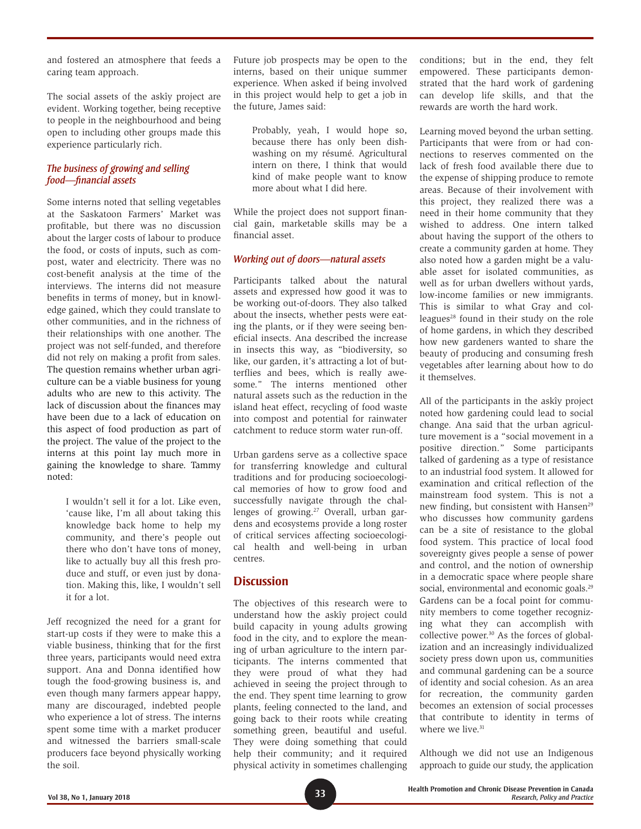and fostered an atmosphere that feeds a caring team approach.

The social assets of the askîy project are evident. Working together, being receptive to people in the neighbourhood and being open to including other groups made this experience particularly rich.

#### *The business of growing and selling food—financial assets*

Some interns noted that selling vegetables at the Saskatoon Farmers' Market was profitable, but there was no discussion about the larger costs of labour to produce the food, or costs of inputs, such as compost, water and electricity. There was no cost-benefit analysis at the time of the interviews. The interns did not measure benefits in terms of money, but in knowledge gained, which they could translate to other communities, and in the richness of their relationships with one another. The project was not self-funded, and therefore did not rely on making a profit from sales. The question remains whether urban agriculture can be a viable business for young adults who are new to this activity. The lack of discussion about the finances may have been due to a lack of education on this aspect of food production as part of the project. The value of the project to the interns at this point lay much more in gaining the knowledge to share. Tammy noted:

> I wouldn't sell it for a lot. Like even, 'cause like, I'm all about taking this knowledge back home to help my community, and there's people out there who don't have tons of money, like to actually buy all this fresh produce and stuff, or even just by donation. Making this, like, I wouldn't sell it for a lot.

Jeff recognized the need for a grant for start-up costs if they were to make this a viable business, thinking that for the first three years, participants would need extra support. Ana and Donna identified how tough the food-growing business is, and even though many farmers appear happy, many are discouraged, indebted people who experience a lot of stress. The interns spent some time with a market producer and witnessed the barriers small-scale producers face beyond physically working the soil.

Future job prospects may be open to the interns, based on their unique summer experience. When asked if being involved in this project would help to get a job in the future, James said:

Probably, yeah, I would hope so, because there has only been dishwashing on my résumé. Agricultural intern on there, I think that would kind of make people want to know more about what I did here.

While the project does not support financial gain, marketable skills may be a financial asset.

#### *Working out of doors—natural assets*

Participants talked about the natural assets and expressed how good it was to be working out-of-doors. They also talked about the insects, whether pests were eating the plants, or if they were seeing beneficial insects. Ana described the increase in insects this way, as "biodiversity, so like, our garden, it's attracting a lot of butterflies and bees, which is really awesome." The interns mentioned other natural assets such as the reduction in the island heat effect, recycling of food waste into compost and potential for rainwater catchment to reduce storm water run-off.

Urban gardens serve as a collective space for transferring knowledge and cultural traditions and for producing socioecological memories of how to grow food and successfully navigate through the challenges of growing.<sup>27</sup> Overall, urban gardens and ecosystems provide a long roster of critical services affecting socioecological health and well-being in urban centres.

## **Discussion**

The objectives of this research were to understand how the askîy project could build capacity in young adults growing food in the city, and to explore the meaning of urban agriculture to the intern participants. The interns commented that they were proud of what they had achieved in seeing the project through to the end. They spent time learning to grow plants, feeling connected to the land, and going back to their roots while creating something green, beautiful and useful. They were doing something that could help their community; and it required physical activity in sometimes challenging conditions; but in the end, they felt empowered. These participants demonstrated that the hard work of gardening can develop life skills, and that the rewards are worth the hard work.

Learning moved beyond the urban setting. Participants that were from or had connections to reserves commented on the lack of fresh food available there due to the expense of shipping produce to remote areas. Because of their involvement with this project, they realized there was a need in their home community that they wished to address. One intern talked about having the support of the others to create a community garden at home. They also noted how a garden might be a valuable asset for isolated communities, as well as for urban dwellers without yards, low-income families or new immigrants. This is similar to what Gray and colleagues<sup>28</sup> found in their study on the role of home gardens, in which they described how new gardeners wanted to share the beauty of producing and consuming fresh vegetables after learning about how to do it themselves.

All of the participants in the askîy project noted how gardening could lead to social change. Ana said that the urban agriculture movement is a "social movement in a positive direction." Some participants talked of gardening as a type of resistance to an industrial food system. It allowed for examination and critical reflection of the mainstream food system. This is not a new finding, but consistent with Hansen<sup>29</sup> who discusses how community gardens can be a site of resistance to the global food system. This practice of local food sovereignty gives people a sense of power and control, and the notion of ownership in a democratic space where people share social, environmental and economic goals.<sup>29</sup> Gardens can be a focal point for community members to come together recognizing what they can accomplish with collective power.30 As the forces of globalization and an increasingly individualized society press down upon us, communities and communal gardening can be a source of identity and social cohesion. As an area for recreation, the community garden becomes an extension of social processes that contribute to identity in terms of where we live.<sup>31</sup>

Although we did not use an Indigenous approach to guide our study, the application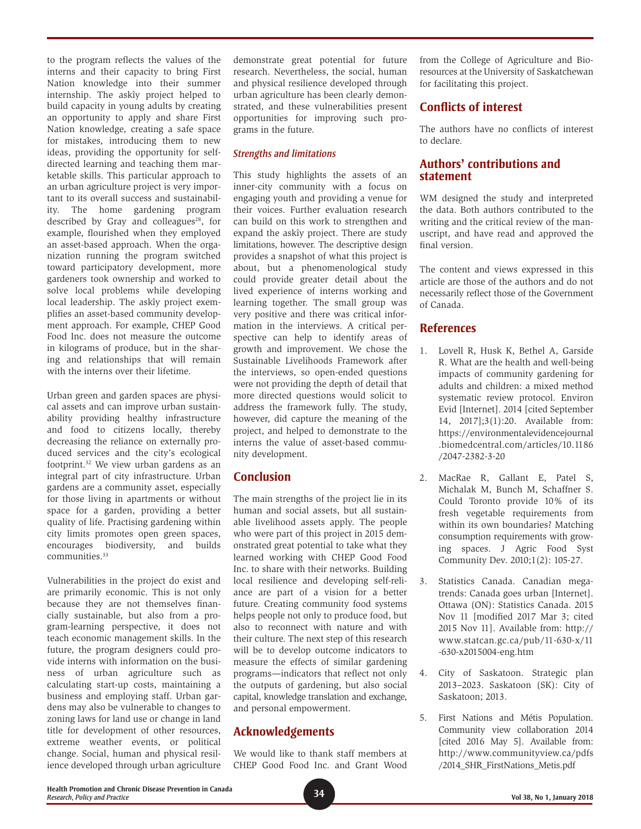to the program reflects the values of the interns and their capacity to bring First Nation knowledge into their summer internship. The askîy project helped to build capacity in young adults by creating an opportunity to apply and share First Nation knowledge, creating a safe space for mistakes, introducing them to new ideas, providing the opportunity for selfdirected learning and teaching them marketable skills. This particular approach to an urban agriculture project is very important to its overall success and sustainability. The home gardening program described by Gray and colleagues<sup>28</sup>, for example, flourished when they employed an asset-based approach. When the organization running the program switched toward participatory development, more gardeners took ownership and worked to solve local problems while developing local leadership. The askîy project exemplifies an asset-based community development approach. For example, CHEP Good Food Inc. does not measure the outcome in kilograms of produce, but in the sharing and relationships that will remain with the interns over their lifetime.

Urban green and garden spaces are physical assets and can improve urban sustainability providing healthy infrastructure and food to citizens locally, thereby decreasing the reliance on externally produced services and the city's ecological footprint.32 We view urban gardens as an integral part of city infrastructure. Urban gardens are a community asset, especially for those living in apartments or without space for a garden, providing a better quality of life. Practising gardening within city limits promotes open green spaces, encourages biodiversity, and builds communities.33

Vulnerabilities in the project do exist and are primarily economic. This is not only because they are not themselves financially sustainable, but also from a program-learning perspective, it does not teach economic management skills. In the future, the program designers could provide interns with information on the business of urban agriculture such as calculating start-up costs, maintaining a business and employing staff. Urban gardens may also be vulnerable to changes to zoning laws for land use or change in land title for development of other resources, extreme weather events, or political change. Social, human and physical resilience developed through urban agriculture demonstrate great potential for future research. Nevertheless, the social, human and physical resilience developed through urban agriculture has been clearly demonstrated, and these vulnerabilities present opportunities for improving such programs in the future.

#### *Strengths and limitations*

This study highlights the assets of an inner-city community with a focus on engaging youth and providing a venue for their voices. Further evaluation research can build on this work to strengthen and expand the askîy project. There are study limitations, however. The descriptive design provides a snapshot of what this project is about, but a phenomenological study could provide greater detail about the lived experience of interns working and learning together. The small group was very positive and there was critical information in the interviews. A critical perspective can help to identify areas of growth and improvement. We chose the Sustainable Livelihoods Framework after the interviews, so open-ended questions were not providing the depth of detail that more directed questions would solicit to address the framework fully. The study, however, did capture the meaning of the project, and helped to demonstrate to the interns the value of asset-based community development.

## **Conclusion**

The main strengths of the project lie in its human and social assets, but all sustainable livelihood assets apply. The people who were part of this project in 2015 demonstrated great potential to take what they learned working with CHEP Good Food Inc. to share with their networks. Building local resilience and developing self-reliance are part of a vision for a better future. Creating community food systems helps people not only to produce food, but also to reconnect with nature and with their culture. The next step of this research will be to develop outcome indicators to measure the effects of similar gardening programs—indicators that reflect not only the outputs of gardening, but also social capital, knowledge translation and exchange, and personal empowerment.

## **Acknowledgements**

We would like to thank staff members at CHEP Good Food Inc. and Grant Wood from the College of Agriculture and Bioresources at the University of Saskatchewan for facilitating this project.

## **Conflicts of interest**

The authors have no conflicts of interest to declare.

## **Authors' contributions and statement**

WM designed the study and interpreted the data. Both authors contributed to the writing and the critical review of the manuscript, and have read and approved the final version.

The content and views expressed in this article are those of the authors and do not necessarily reflect those of the Government of Canada.

## **References**

- 1. Lovell R, Husk K, Bethel A, Garside R. What are the health and well-being impacts of community gardening for adults and children: a mixed method systematic review protocol. Environ Evid [Internet]. 2014 [cited September 14, 2017];3(1):20. Available from: https://environmentalevidencejournal .biomedcentral.com/articles/10.1186 /2047-2382-3-20
- 2. MacRae R, Gallant E, Patel S, Michalak M, Bunch M, Schaffner S. Could Toronto provide 10% of its fresh vegetable requirements from within its own boundaries? Matching consumption requirements with growing spaces. J Agric Food Syst Community Dev. 2010;1(2): 105-27.
- 3. Statistics Canada. Canadian megatrends: Canada goes urban [Internet]. Ottawa (ON): Statistics Canada. 2015 Nov 11 [modified 2017 Mar 3; cited 2015 Nov 11]. Available from: http:// www.statcan.gc.ca/pub/11-630-x/11 -630-x2015004-eng.htm
- 4. City of Saskatoon. Strategic plan 2013–2023. Saskatoon (SK): City of Saskatoon; 2013.
- 5. First Nations and Métis Population. Community view collaboration 2014 [cited 2016 May 5]. Available from: http://www.communityview.ca/pdfs /2014\_SHR\_FirstNations\_Metis.pdf